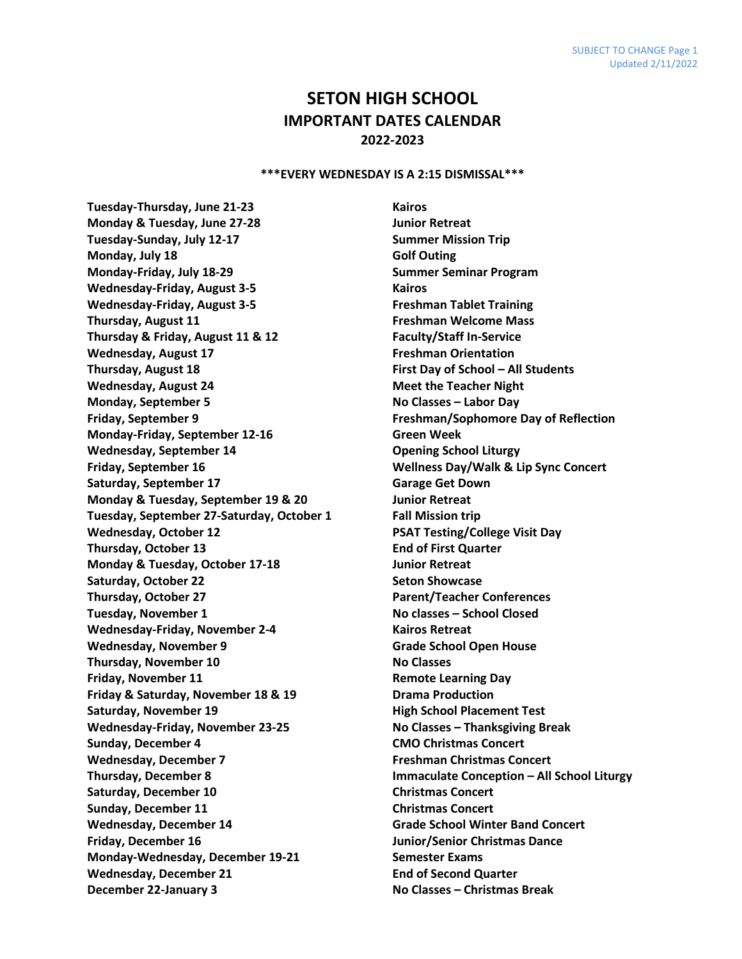## **SETON HIGH SCHOOL IMPORTANT DATES CALENDAR 2022-2023**

## **\*\*\*EVERY WEDNESDAY IS A 2:15 DISMISSAL\*\*\***

**Tuesday-Thursday, June 21-23 Kairos Monday & Tuesday, June 27-28 Junior Retreat Tuesday-Sunday, July 12-17 Summer Mission Trip Monday, July 18 Golf Outing Monday-Friday, July 18-29 Summer Seminar Program Wednesday-Friday, August 3-5 Kairos Wednesday-Friday, August 3-5 Freshman Tablet Training Thursday, August 11 Freshman Welcome Mass Thursday & Friday, August 11 & 12 Faculty/Staff In-Service Wednesday, August 17 Freshman Orientation Thursday, August 18 First Day of School – All Students Wednesday, August 24 Meet the Teacher Night Monday, September 5 No Classes – Labor Day Friday, September 9 Freshman/Sophomore Day of Reflection Monday-Friday, September 12-16 Green Week Wednesday, September 14 Opening School Liturgy Friday, September 16 Wellness Day/Walk & Lip Sync Concert Saturday, September 17 Garage Get Down Monday & Tuesday, September 19 & 20 Junior Retreat Tuesday, September 27-Saturday, October 1 Fall Mission trip Wednesday, October 12 PSAT Testing/College Visit Day Thursday, October 13 End of First Quarter Monday & Tuesday, October 17-18 Junior Retreat Saturday, October 22 Seton Showcase** Seton Showcase **Thursday, October 27 Parent/Teacher Conferences Tuesday, November 1 No classes – School Closed Wednesday-Friday, November 2-4 Kairos Retreat** Wednesday, November 9 **Grade School Open House Thursday, November 10 No Classes Friday, November 11 Remote Learning Day Friday & Saturday, November 18 & 19 Drama Production Saturday, November 19 High School Placement Test Wednesday-Friday, November 23-25 No Classes – Thanksgiving Break Sunday, December 4 CMO Christmas Concert Wednesday, December 7 Freshman Christmas Concert Saturday, December 10 Christmas Concert Sunday, December 11 Christmas Concert Wednesday, December 14 Grade School Winter Band Concert Friday, December 16 Junior/Senior Christmas Dance Monday-Wednesday, December 19-21 Semester Exams Wednesday, December 21 End of Second Quarter December 22-January 3 No Classes – Christmas Break**

**Thursday, December 8 Immaculate Conception – All School Liturgy**